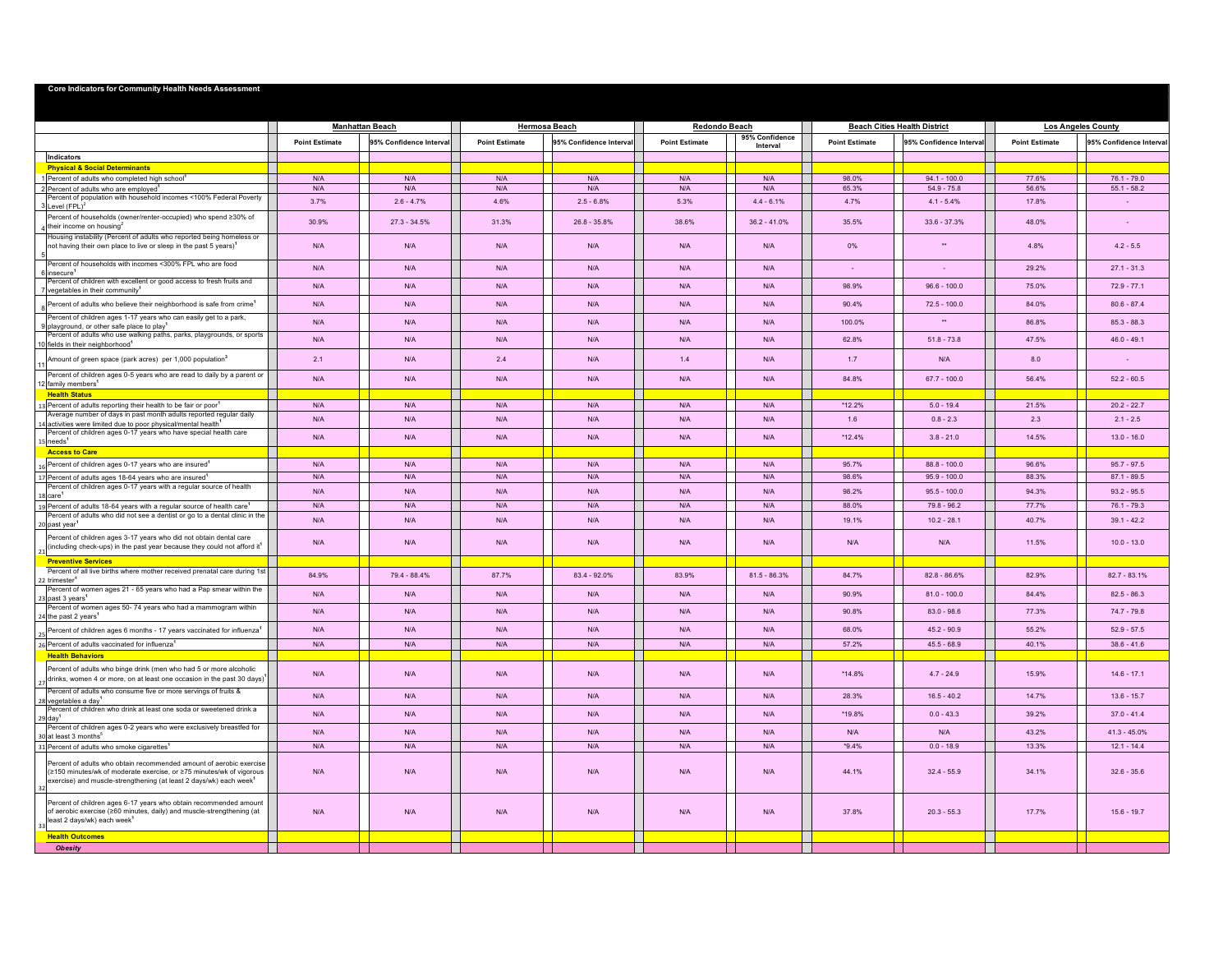| Core Indicators for Community Health Needs Assessment                                                                                                                                                                         |                        |                         |                       |                         |                       |                            |                                     |                             |                       |                              |
|-------------------------------------------------------------------------------------------------------------------------------------------------------------------------------------------------------------------------------|------------------------|-------------------------|-----------------------|-------------------------|-----------------------|----------------------------|-------------------------------------|-----------------------------|-----------------------|------------------------------|
|                                                                                                                                                                                                                               |                        |                         |                       |                         |                       |                            |                                     |                             |                       |                              |
|                                                                                                                                                                                                                               | <b>Manhattan Beach</b> |                         | <b>Hermosa Beach</b>  |                         | Redondo Beach         |                            | <b>Beach Cities Health District</b> |                             |                       | <b>Los Angeles County</b>    |
|                                                                                                                                                                                                                               | <b>Point Estimate</b>  | 95% Confidence Interval | <b>Point Estimate</b> | 95% Confidence Interval | <b>Point Estimate</b> | 95% Confidence<br>Interval | <b>Point Estimate</b>               | 95% Confidence Interval     | <b>Point Estimate</b> | 95% Confidence Interval      |
| Indicators                                                                                                                                                                                                                    |                        |                         |                       |                         |                       |                            |                                     |                             |                       |                              |
| <b>Physical &amp; Social Determinants</b>                                                                                                                                                                                     | N/A                    | N/A                     | N/A                   | N/A                     | N/A                   | N/A                        | 98.0%                               | $94.1 - 100.0$              | 77.6%                 | $76.1 - 79.0$                |
| Percent of adults who completed high school <sup>1</sup><br>2 Percent of adults who are employed <sup>1</sup>                                                                                                                 | N/A                    | N/A                     | N/A                   | N/A                     | N/A                   | N/A                        | 65.3%                               | $54.9 - 75.8$               | 56.6%                 | $55.1 - 58.2$                |
| Percent of population with household incomes <100% Federal Poverty<br>Level (FPL) <sup>2</sup>                                                                                                                                | 3.7%                   | $2.6 - 4.7%$            | 4.6%                  | $2.5 - 6.8%$            | 5.3%                  | $4.4 - 6.1%$               | 4.7%                                | $4.1 - 5.4%$                | 17.8%                 | $\sim$                       |
| Percent of households (owner/renter-occupied) who spend ≥30% of<br>their income on housing <sup>2</sup>                                                                                                                       | 30.9%                  | $27.3 - 34.5%$          | 31.3%                 | $26.8 - 35.8%$          | 38.6%                 | $36.2 - 41.0%$             | 35.5%                               | $33.6 - 37.3%$              | 48.0%                 | $\sim$                       |
| Housing instability (Percent of adults who reported being homeless or<br>not having their own place to live or sleep in the past 5 years) <sup>1</sup>                                                                        | N/A                    | N/A                     | N/A                   | N/A                     | N/A                   | N/A                        | $0\%$                               | $\star\star$                | 4.8%                  | $4.2 - 5.5$                  |
| Percent of households with incomes <300% FPL who are food<br><i>insecure</i>                                                                                                                                                  | N/A                    | N/A                     | N/A                   | N/A                     | N/A                   | N/A                        | $\sim$                              | $\sim$                      | 29.2%                 | $27.1 - 31.3$                |
| Percent of children with excellent or good access to fresh fruits and<br>vegetables in their community <sup>1</sup>                                                                                                           | N/A                    | N/A                     | N/A                   | N/A                     | N/A                   | N/A                        | 98.9%                               | $96.6 - 100.0$              | 75.0%                 | $72.9 - 77.1$                |
| Percent of adults who believe their neighborhood is safe from crime <sup>1</sup>                                                                                                                                              | N/A                    | N/A                     | N/A                   | N/A                     | N/A                   | N/A                        | 90.4%                               | $72.5 - 100.0$              | 84.0%                 | $80.6 - 87.4$                |
| Percent of children ages 1-17 years who can easily get to a park,<br>9 playground, or other safe place to play                                                                                                                | N/A                    | N/A                     | N/A                   | N/A                     | N/A                   | N/A                        | 100.0%                              | $\star\star$                | 86.8%                 | $85.3 - 88.3$                |
| Percent of adults who use walking paths, parks, playgrounds, or sports<br>10 fields in their neighborhood <sup>1</sup>                                                                                                        | N/A                    | N/A                     | N/A                   | N/A                     | N/A                   | N/A                        | 62.8%                               | $51.8 - 73.8$               | 47.5%                 | $46.0 - 49.1$                |
| Amount of green space (park acres) per 1,000 population <sup>3</sup>                                                                                                                                                          | 2.1                    | N/A                     | $2.4\,$               | N/A                     | 1.4                   | N/A                        | 1.7                                 | N/A                         | 8.0                   | $\sim$                       |
| Percent of children ages 0-5 years who are read to daily by a parent or<br>12 family members <sup>1</sup>                                                                                                                     | N/A                    | N/A                     | N/A                   | N/A                     | N/A                   | N/A                        | 84.8%                               | $67.7 - 100.0$              | 56.4%                 | $52.2 - 60.5$                |
| <b>Health Status</b>                                                                                                                                                                                                          |                        |                         |                       |                         |                       |                            |                                     |                             |                       |                              |
| 13 Percent of adults reporting their health to be fair or poor1<br>Average number of days in past month adults reported regular daily                                                                                         | N/A<br>N/A             | N/A<br>N/A              | N/A<br>N/A            | N/A<br>N/A              | N/A<br>N/A            | N/A<br>N/A                 | *12.2%<br>1.6                       | $5.0 - 19.4$<br>$0.8 - 2.3$ | 21.5%<br>2.3          | $20.2 - 22.7$<br>$2.1 - 2.5$ |
| 14 activities were limited due to poor physical/mental health<br>Percent of children ages 0-17 years who have special health care                                                                                             | N/A                    | N/A                     | N/A                   | N/A                     | N/A                   | N/A                        | *12.4%                              | $3.8 - 21.0$                | 14.5%                 | $13.0 - 16.0$                |
| 15 needs <sup>1</sup><br><b>Access to Care</b>                                                                                                                                                                                |                        |                         |                       |                         |                       |                            |                                     |                             |                       |                              |
| Percent of children ages 0-17 vears who are insured                                                                                                                                                                           | N/A                    | N/A                     | N/A                   | N/A                     | N/A                   | N/A                        | 95.7%                               | $88.8 - 100.0$              | 96.6%                 | $95.7 - 97.5$                |
| 17 Percent of adults ages 18-64 years who are insured                                                                                                                                                                         | N/A                    | N/A                     | N/A                   | N/A                     | N/A                   | N/A                        | 98.6%                               | $95.9 - 100.0$              | 88.3%                 | $87.1 - 89.5$                |
| Percent of children ages 0-17 years with a regular source of health                                                                                                                                                           | N/A                    | N/A                     | N/A                   | N/A                     | N/A                   | N/A                        | 98.2%                               | $95.5 - 100.0$              | 94.3%                 | $93.2 - 95.5$                |
| 18 care<br>19 Percent of adults 18-64 years with a regular source of health care <sup>1</sup>                                                                                                                                 | N/A                    | N/A                     | N/A                   | N/A                     | N/A                   | N/A                        | 88.0%                               | 79.8 - 96.2                 | 77.7%                 | $76.1 - 79.3$                |
| Percent of adults who did not see a dentist or go to a dental clinic in the<br>20 past year                                                                                                                                   | N/A                    | N/A                     | N/A                   | N/A                     | N/A                   | N/A                        | 19.1%                               | $10.2 - 28.1$               | 40.7%                 | $39.1 - 42.2$                |
| Percent of children ages 3-17 years who did not obtain dental care<br>(including check-ups) in the past year because they could not afford it <sup>1</sup><br>21                                                              | N/A                    | N/A                     | N/A                   | N/A                     | N/A                   | N/A                        | N/A                                 | N/A                         | 11.5%                 | $10.0 - 13.0$                |
| <b>Preventive Services</b>                                                                                                                                                                                                    |                        |                         |                       |                         |                       |                            |                                     |                             |                       |                              |
| Percent of all live births where mother received prenatal care during 1st<br>22 trimester                                                                                                                                     | 84.9%                  | 79.4 - 88.4%            | 87.7%                 | 83.4 - 92.0%            | 83.9%                 | $81.5 - 86.3%$             | 84.7%                               | 82.8 - 86.6%                | 82.9%                 | 82.7 - 83.1%                 |
| Percent of women ages 21 - 65 years who had a Pap smear within the<br>past 3 years <sup>1</sup><br>23                                                                                                                         | N/A                    | N/A                     | N/A                   | N/A                     | N/A                   | N/A                        | 90.9%                               | $81.0 - 100.0$              | 84.4%                 | $82.5 - 86.3$                |
| Percent of women ages 50-74 years who had a mammogram within<br>24 the past 2 years <sup>1</sup>                                                                                                                              | N/A                    | N/A                     | N/A                   | N/A                     | N/A                   | N/A                        | 90.8%                               | $83.0 - 98.6$               | 77.3%                 | $74.7 - 79.8$                |
| Percent of children ages 6 months - 17 years vaccinated for influenza                                                                                                                                                         | N/A                    | N/A                     | N/A                   | N/A                     | N/A                   | N/A                        | 68.0%                               | $45.2 - 90.9$               | 55.2%                 | $52.9 - 57.5$                |
| 26 Percent of adults vaccinated for influenza <sup>1</sup>                                                                                                                                                                    | N/A                    | N/A                     | N/A                   | N/A                     | N/A                   | N/A                        | 57.2%                               | $45.5 - 68.9$               | 40.1%                 | $38.6 - 41.6$                |
| <b>Health Behaviors</b><br>Percent of adults who binge drink (men who had 5 or more alcoholic<br>drinks, women 4 or more, on at least one occasion in the past 30 days) <sup>1</sup>                                          | N/A                    | N/A                     | N/A                   | N/A                     | N/A                   | N/A                        | *14.8%                              | $4.7 - 24.9$                | 15.9%                 | $14.6 - 17.1$                |
| Percent of adults who consume five or more servings of fruits &<br>28 vegetables a day <sup>1</sup>                                                                                                                           | N/A                    | N/A                     | N/A                   | N/A                     | N/A                   | N/A                        | 28.3%                               | $16.5 - 40.2$               | 14.7%                 | $13.6 - 15.7$                |
| Percent of children who drink at least one soda or sweetened drink a<br>dav <sup>1</sup>                                                                                                                                      | N/A                    | N/A                     | N/A                   | N/A                     | N/A                   | N/A                        | *19.8%                              | $0.0 - 43.3$                | 39.2%                 | $37.0 - 41.4$                |
| Percent of children ages 0-2 years who were exclusively breastfed for<br>30 at least 3 months <sup>5</sup>                                                                                                                    | N/A                    | N/A                     | N/A                   | N/A                     | N/A                   | N/A                        | N/A                                 | N/A                         | 43.2%                 | $41.3 - 45.0\%$              |
| 31 Percent of adults who smoke cigarettes <sup>1</sup>                                                                                                                                                                        | N/A                    | N/A                     | N/A                   | N/A                     | N/A                   | N/A                        | $*9.4%$                             | $0.0 - 18.9$                | 13.3%                 | $12.1 - 14.4$                |
| Percent of adults who obtain recommended amount of aerobic exercise<br>(≥150 minutes/wk of moderate exercise, or ≥75 minutes/wk of vigorous<br>exercise) and muscle-strengthening (at least 2 days/wk) each week <sup>1</sup> | N/A                    | N/A                     | N/A                   | N/A                     | N/A                   | N/A                        | 44.1%                               | $32.4 - 55.9$               | 34.1%                 | $32.6 - 35.6$                |
| Percent of children ages 6-17 years who obtain recommended amount<br>of aerobic exercise (≥60 minutes, daily) and muscle-strengthening (at<br>least 2 days/wk) each week <sup>1</sup>                                         | N/A                    | N/A                     | N/A                   | N/A                     | N/A                   | N/A                        | 37.8%                               | $20.3 - 55.3$               | 17.7%                 | $15.6 - 19.7$                |
| <b>Health Outcomes</b>                                                                                                                                                                                                        |                        |                         |                       |                         |                       |                            |                                     |                             |                       |                              |
| <b>Obesity</b>                                                                                                                                                                                                                |                        |                         |                       |                         |                       |                            |                                     |                             |                       |                              |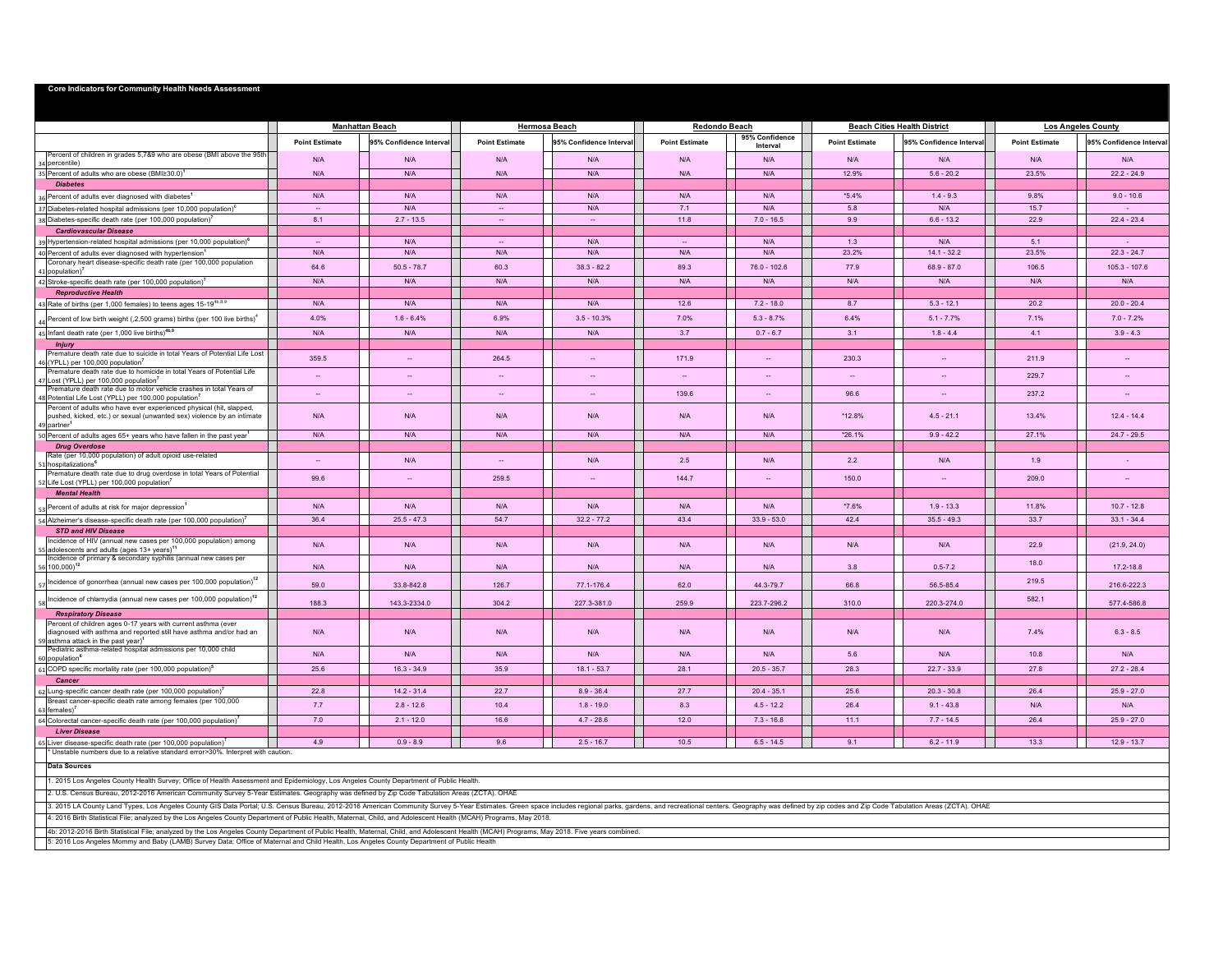| Core Indicators for Community Health Needs Assessment                                                                                                                                                                                                                                                                                                            |                          |                          |                          |                          |                       |                          |                                     |                          |                           |                        |
|------------------------------------------------------------------------------------------------------------------------------------------------------------------------------------------------------------------------------------------------------------------------------------------------------------------------------------------------------------------|--------------------------|--------------------------|--------------------------|--------------------------|-----------------------|--------------------------|-------------------------------------|--------------------------|---------------------------|------------------------|
|                                                                                                                                                                                                                                                                                                                                                                  |                          |                          |                          |                          |                       |                          |                                     |                          |                           |                        |
|                                                                                                                                                                                                                                                                                                                                                                  | <b>Manhattan Beach</b>   |                          | <b>Hermosa Beach</b>     |                          | Redondo Beach         |                          | <b>Beach Cities Health District</b> |                          | <b>Los Angeles County</b> |                        |
|                                                                                                                                                                                                                                                                                                                                                                  |                          |                          |                          |                          |                       | 95% Confidence           | <b>Point Estimate</b>               |                          |                           |                        |
| Percent of children in grades 5,7&9 who are obese (BMI above the 95th                                                                                                                                                                                                                                                                                            | <b>Point Estimate</b>    | 95% Confidence Interva   | <b>Point Estimate</b>    | 95% Confidence Interval  | <b>Point Estimate</b> | Interval                 |                                     | 95% Confidence Interval  | <b>Point Estimate</b>     | 95% Confidence Interva |
| percentile)                                                                                                                                                                                                                                                                                                                                                      | N/A                      | N/A                      | N/A                      | N/A                      | N/A                   | N/A                      | N/A                                 | N/A                      | N/A                       | N/A                    |
| 35 Percent of adults who are obese (BMI≥30.0) <sup>1</sup><br><b>Diabetes</b>                                                                                                                                                                                                                                                                                    | N/A                      | N/A                      | N/A                      | N/A                      | N/A                   | N/A                      | 12.9%                               | $5.6 - 20.2$             | 23.5%                     | $22.2 - 24.9$          |
| Reflectent of adults ever diagnosed with diabetes <sup>1</sup>                                                                                                                                                                                                                                                                                                   | N/A                      | N/A                      | N/A                      | N/A                      | N/A                   | N/A                      | $*5.4%$                             | $1.4 - 9.3$              | 9.8%                      | $9.0 - 10.6$           |
| 37 Diabetes-related hospital admissions (per 10,000 population) <sup>6</sup>                                                                                                                                                                                                                                                                                     | $\overline{\phantom{a}}$ | N/A                      | $\ddotsc$                | N/A                      | 7.1                   | N/A                      | 5.8                                 | N/A                      | 15.7                      |                        |
| 38 Diabetes-specific death rate (per 100,000 population) <sup>7</sup>                                                                                                                                                                                                                                                                                            | 8.1                      | $2.7 - 13.5$             | $\sim$                   | $\sim$                   | 11.8                  | $7.0 - 16.5$             | 9.9                                 | $6.6 - 13.2$             | 22.9                      | $22.4 - 23.4$          |
| <b>Cardiovascular Disease</b>                                                                                                                                                                                                                                                                                                                                    | $\sim$                   | N/A                      | $\sim$                   | N/A                      | -                     | N/A                      | 1.3                                 | N/A                      | 5.1                       |                        |
| 39 Hypertension-related hospital admissions (per 10,000 population)<br>40 Percent of adults ever diagnosed with hypertension                                                                                                                                                                                                                                     | N/A                      | N/A                      | N/A                      | N/A                      | N/A                   | N/A                      | 23.2%                               | $14.1 - 32.2$            | 23.5%                     | $22.3 - 24.7$          |
| Coronary heart disease-specific death rate (per 100,000 population                                                                                                                                                                                                                                                                                               | 64.6                     | $50.5 - 78.7$            | 60.3                     | $38.3 - 82.2$            | 89.3                  | 76.0 - 102.6             | 77.9                                | $68.9 - 87.0$            | 106.5                     | $105.3 - 107.6$        |
| population)<br>42 Stroke-specific death rate (per 100,000 population) <sup>2</sup>                                                                                                                                                                                                                                                                               | N/A                      | N/A                      | N/A                      | N/A                      | N/A                   | N/A                      | N/A                                 | N/A                      | N/A                       | N/A                    |
| <b>Reproductive Health</b>                                                                                                                                                                                                                                                                                                                                       |                          |                          |                          |                          |                       |                          |                                     |                          |                           |                        |
| 43 Rate of births (per 1,000 females) to teens ages 15-19 <sup>4b,8,9</sup>                                                                                                                                                                                                                                                                                      | N/A                      | N/A                      | N/A                      | N/A                      | 12.6                  | $7.2 - 18.0$             | 8.7                                 | $5.3 - 12.1$             | 20.2                      | $20.0 - 20.4$          |
| Percent of low birth weight (,2,500 grams) births (per 100 live births) <sup>4</sup>                                                                                                                                                                                                                                                                             | 4.0%                     | $1.6 - 6.4%$             | 6.9%                     | $3.5 - 10.3%$            | 7.0%                  | $5.3 - 8.7%$             | 6.4%                                | $5.1 - 7.7%$             | 7.1%                      | $7.0 - 7.2%$           |
| 45 Infant death rate (per 1,000 live births) <sup>4b,9</sup>                                                                                                                                                                                                                                                                                                     | N/A                      | N/A                      | N/A                      | N/A                      | 3.7                   | $0.7 - 6.7$              | 3.1                                 | $1.8 - 4.4$              | 4.1                       | $3.9 - 4.3$            |
| <b>Injury</b>                                                                                                                                                                                                                                                                                                                                                    |                          |                          |                          |                          |                       |                          |                                     |                          |                           |                        |
| Premature death rate due to suicide in total Years of Potential Life Lost<br>(YPLL) per 100,000 population                                                                                                                                                                                                                                                       | 359.5                    | $\overline{\phantom{a}}$ | 264.5                    | $\overline{\phantom{a}}$ | 171.9                 | ÷.                       | 230.3                               | $\overline{\phantom{a}}$ | 211.9                     | ÷.                     |
| Premature death rate due to homicide in total Years of Potential Life<br>47 Lost (YPLL) per 100,000 population <sup>3</sup>                                                                                                                                                                                                                                      |                          | $\ddot{\phantom{a}}$     | $\sim$                   |                          |                       |                          |                                     |                          | 229.7                     |                        |
| Premature death rate due to motor vehicle crashes in total Years of<br>48 Potential Life Lost (YPLL) per 100,000 population                                                                                                                                                                                                                                      | $\overline{\phantom{a}}$ | $\overline{\phantom{a}}$ | $\overline{\phantom{a}}$ | $\sim$                   | 139.6                 | $\overline{\phantom{a}}$ | 96.6                                | $\sim$                   | 237.2                     | $\sim$                 |
| Percent of adults who have ever experienced physical (hit, slapped,                                                                                                                                                                                                                                                                                              |                          |                          |                          |                          |                       |                          |                                     |                          |                           |                        |
| pushed, kicked, etc.) or sexual (unwanted sex) violence by an intimate<br>49 partner                                                                                                                                                                                                                                                                             | N/A                      | N/A                      | N/A                      | N/A                      | N/A                   | N/A                      | *12.8%                              | $4.5 - 21.1$             | 13.4%                     | $12.4 - 14.4$          |
| 50 Percent of adults ages 65+ years who have fallen in the past year <sup>1</sup>                                                                                                                                                                                                                                                                                | N/A                      | N/A                      | N/A                      | N/A                      | N/A                   | N/A                      | *26.1%                              | $9.9 - 42.2$             | 27.1%                     | $24.7 - 29.5$          |
| <b>Drug Overdose</b><br>Rate (per 10,000 population) of adult opioid use-related                                                                                                                                                                                                                                                                                 |                          |                          |                          |                          |                       |                          |                                     |                          |                           |                        |
| 51 hospitalizations <sup>6</sup>                                                                                                                                                                                                                                                                                                                                 | $\overline{\phantom{a}}$ | N/A                      | $\ddot{\phantom{a}}$     | N/A                      | 2.5                   | N/A                      | 2.2                                 | N/A                      | 1.9                       | ä,                     |
| Premature death rate due to drug overdose in total Years of Potential<br>Life Lost (YPLL) per 100,000 population <sup>7</sup>                                                                                                                                                                                                                                    | 99.6                     |                          | 259.5                    |                          | 144.7                 | à,                       | 150.0                               |                          | 209.0                     |                        |
| <b>Mental Health</b>                                                                                                                                                                                                                                                                                                                                             |                          |                          |                          |                          |                       |                          |                                     |                          |                           |                        |
| Percent of adults at risk for major depression                                                                                                                                                                                                                                                                                                                   | N/A                      | N/A                      | N/A                      | N/A                      | N/A                   | N/A                      | *7.6%                               | $1.9 - 13.3$             | 11.8%                     | $10.7 - 12.8$          |
| 54 Alzheimer's disease-specific death rate (per 100,000 population) <sup>7</sup>                                                                                                                                                                                                                                                                                 | 36.4                     | $25.5 - 47.3$            | 54.7                     | $32.2 - 77.2$            | 43.4                  | $33.9 - 53.0$            | 42.4                                | $35.5 - 49.3$            | 33.7                      | $33.1 - 34.4$          |
| <b>STD and HIV Disease</b><br>Incidence of HIV (annual new cases per 100,000 population) among                                                                                                                                                                                                                                                                   |                          |                          |                          |                          |                       |                          |                                     |                          |                           |                        |
| adolescents and adults (ages 13+ years) <sup>1</sup><br>ncidence of primary & secondary syphilis (annual new cases per                                                                                                                                                                                                                                           | N/A                      | N/A                      | N/A                      | N/A                      | N/A                   | N/A                      | N/A                                 | N/A                      | 22.9                      | (21.9, 24.0)           |
| $100,000)^{12}$                                                                                                                                                                                                                                                                                                                                                  | N/A                      | N/A                      | N/A                      | N/A                      | N/A                   | N/A                      | 3.8                                 | $0.5 - 7.2$              | 18.0                      | 17.2-18.8              |
| ncidence of gonorrhea (annual new cases per 100,000 population) <sup>12</sup>                                                                                                                                                                                                                                                                                    | 59.0                     | 33.8-842.8               | 126.7                    | 77.1-176.4               | 62.0                  | 44.3-79.7                | 66.8                                | 56.5-85.4                | 219.5                     | 216.6-222.3            |
| Incidence of chlamydia (annual new cases per 100,000 population) <sup>12</sup>                                                                                                                                                                                                                                                                                   | 188.3                    | 143.3-2334.0             | 304.2                    | 227.3-381.0              | 259.9                 | 223.7-296.2              | 310.0                               | 220.3-274.0              | 582.1                     | 577.4-586.8            |
| <b>Respiratory Disease</b>                                                                                                                                                                                                                                                                                                                                       |                          |                          |                          |                          |                       |                          |                                     |                          |                           |                        |
| Percent of children ages 0-17 years with current asthma (ever<br>diagnosed with asthma and reported still have asthma and/or had an                                                                                                                                                                                                                              | N/A                      | N/A                      | N/A                      | N/A                      | N/A                   | N/A                      | N/A                                 | N/A                      | 7.4%                      | $6.3 - 8.5$            |
| 59 asthma attack in the past year) <sup>1</sup>                                                                                                                                                                                                                                                                                                                  |                          |                          |                          |                          |                       |                          |                                     |                          |                           |                        |
| Pediatric asthma-related hospital admissions per 10,000 child<br>population <sup>6</sup>                                                                                                                                                                                                                                                                         | N/A                      | N/A                      | N/A                      | N/A                      | N/A                   | N/A                      | 5.6                                 | N/A                      | 10.8                      | N/A                    |
| 61 COPD specific mortality rate (per 100,000 population) <sup>6</sup>                                                                                                                                                                                                                                                                                            | 25.6                     | $16.3 - 34.9$            | 35.9                     | $18.1 - 53.7$            | 28.1                  | $20.5 - 35.7$            | 28.3                                | $22.7 - 33.9$            | 27.8                      | $27.2 - 28.4$          |
| Cancer                                                                                                                                                                                                                                                                                                                                                           |                          |                          |                          |                          |                       |                          |                                     |                          |                           |                        |
| 62 Lung-specific cancer death rate (per 100,000 population)<br>Breast cancer-specific death rate among females (per 100,000                                                                                                                                                                                                                                      | 22.8                     | $14.2 - 31.4$            | 22.7                     | $8.9 - 36.4$             | 27.7                  | $20.4 - 35.1$            | 25.6                                | $20.3 - 30.8$            | 26.4                      | $25.9 - 27.0$          |
| females) <sup>1</sup>                                                                                                                                                                                                                                                                                                                                            | $7.7$                    | $2.8 - 12.6$             | 10.4                     | $1.8 - 19.0$             | 8.3                   | $4.5 - 12.2$             | 26.4                                | $9.1 - 43.8$             | N/A                       | N/A                    |
| 64 Colorectal cancer-specific death rate (per 100,000 population) <sup>7</sup><br><b>Liver Disease</b>                                                                                                                                                                                                                                                           | 7.0                      | $2.1 - 12.0$             | 16.6                     | $4.7 - 28.6$             | 12.0                  | $7.3 - 16.8$             | 11.1                                | $7.7 - 14.5$             | 26.4                      | $25.9 - 27.0$          |
| 65 Liver disease-specific death rate (per 100,000 population) <sup>2</sup>                                                                                                                                                                                                                                                                                       | 4.9                      | $0.9 - 8.9$              | 9.6                      | $2.5 - 16.7$             | 10.5                  | $6.5 - 14.5$             | 9.1                                 | $6.2 - 11.9$             | 13.3                      | $12.9 - 13.7$          |
| Unstable numbers due to a relative standard error>30%. Interpret with caution.                                                                                                                                                                                                                                                                                   |                          |                          |                          |                          |                       |                          |                                     |                          |                           |                        |
| <b>Data Sources</b>                                                                                                                                                                                                                                                                                                                                              |                          |                          |                          |                          |                       |                          |                                     |                          |                           |                        |
| . 2015 Los Angeles County Health Survey; Office of Health Assessment and Epidemiology, Los Angeles County Department of Public Health                                                                                                                                                                                                                            |                          |                          |                          |                          |                       |                          |                                     |                          |                           |                        |
| . U.S. Census Bureau, 2012-2016 American Community Survey 5-Year Estimates. Geography was defined by Zip Code Tabulation Areas (ZCTA). OHAE                                                                                                                                                                                                                      |                          |                          |                          |                          |                       |                          |                                     |                          |                           |                        |
| 8. 2015 LA County Land Types, Los Angeles County GIS Data Portal; U.S. Census Bureau, 2012-2016 American Community Survey 5-Year Estimates. Green space includes regional parks, gardens, and recreational centers. Geography                                                                                                                                    |                          |                          |                          |                          |                       |                          |                                     |                          |                           |                        |
| 4: 2016 Birth Statistical File; analyzed by the Los Angeles County Department of Public Health, Maternal, Child, and Adolescent Health (MCAH) Programs, May 2018.<br>4b: 2012-2016 Birth Statistical File: analyzed by the Los Angeles County Department of Public Health, Maternal, Child, and Adolescent Health (MCAH) Programs, May 2018. Five years combined |                          |                          |                          |                          |                       |                          |                                     |                          |                           |                        |
|                                                                                                                                                                                                                                                                                                                                                                  |                          |                          |                          |                          |                       |                          |                                     |                          |                           |                        |

4b: 2012-2016 Birth Statistical File; analyzed by the Los Angeles County Department of Public Health, Maternal, Child, and Adolescent Health (MCAH) Programs, May 2018. Five years combined.<br>5: 2016 Los Angeles Mommy and Bab